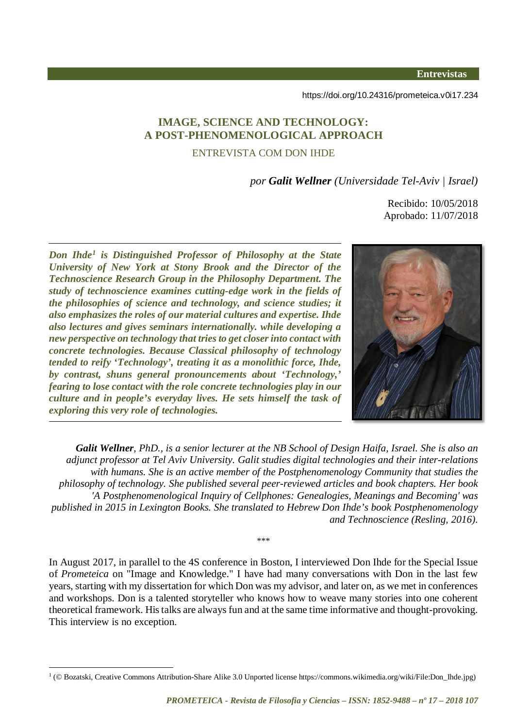**Entrevistas** 

<https://doi.org/10.24316/prometeica.v0i17.234>

# **IMAGE, SCIENCE AND TECHNOLOGY: A POST-PHENOMENOLOGICAL APPROACH** ENTREVISTA COM DON IHDE

*por Galit Wellner (Universidade Tel-Aviv | Israel)*

Recibido: 10/05/2018 Aprobado: 11/07/2018

*Don Ihde[1](#page-0-0) is Distinguished Professor of Philosophy at the State University of New York at Stony Brook and the Director of the Technoscience Research Group in the Philosophy Department. The study of technoscience examines cutting-edge work in the fields of the philosophies of science and technology, and science studies; it also emphasizes the roles of our material cultures and expertise. Ihde also lectures and gives seminars internationally. while developing a new perspective on technology that tries to get closer into contact with concrete technologies. Because Classical philosophy of technology tended to reify 'Technology', treating it as a monolithic force, Ihde, by contrast, shuns general pronouncements about 'Technology,' fearing to lose contact with the role concrete technologies play in our culture and in people's everyday lives. He sets himself the task of exploring this very role of technologies.*



*Galit Wellner, PhD., is a senior lecturer at the NB School of Design Haifa, Israel. She is also an adjunct professor at Tel Aviv University. Galit studies digital technologies and their inter-relations with humans. She is an active member of the Postphenomenology Community that studies the philosophy of technology. She published several peer-reviewed articles and book chapters. Her book 'A Postphenomenological Inquiry of Cellphones: Genealogies, Meanings and Becoming' was published in 2015 in Lexington Books. She translated to Hebrew Don Ihde's book Postphenomenology and Technoscience (Resling, 2016).*

In August 2017, in parallel to the 4S conference in Boston, I interviewed Don Ihde for the Special Issue of *Prometeica* on "Image and Knowledge." I have had many conversations with Don in the last few years, starting with my dissertation for which Don was my advisor, and later on, as we met in conferences and workshops. Don is a talented storyteller who knows how to weave many stories into one coherent theoretical framework. Histalks are always fun and at the same time informative and thought-provoking. This interview is no exception.

\*\*\*

<span id="page-0-0"></span><sup>-</sup><sup>1</sup> (© Bozatski, Creative Commons Attribution-Share Alike 3.0 Unported license https://commons.wikimedia.org/wiki/File:Don\_Ihde.jpg)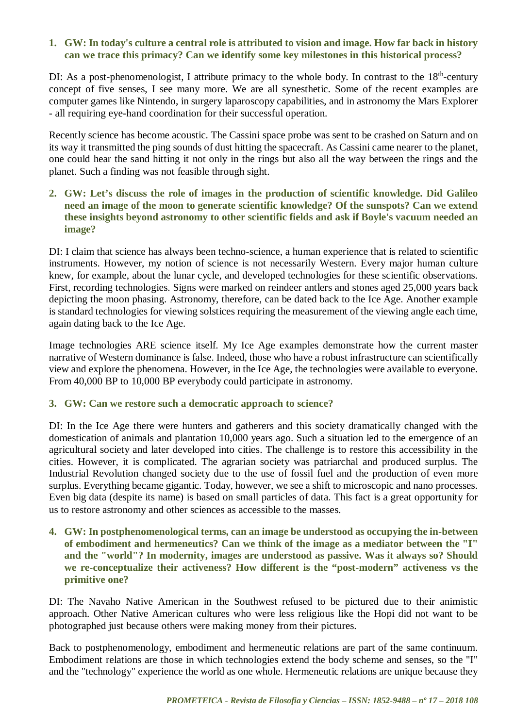### **1. GW: In today's culture a central role is attributed to vision and image. How far back in history can we trace this primacy? Can we identify some key milestones in this historical process?**

DI: As a post-phenomenologist, I attribute primacy to the whole body. In contrast to the  $18<sup>th</sup>$ -century concept of five senses, I see many more. We are all synesthetic. Some of the recent examples are computer games like Nintendo, in surgery laparoscopy capabilities, and in astronomy the Mars Explorer - all requiring eye-hand coordination for their successful operation.

Recently science has become acoustic. The Cassini space probe was sent to be crashed on Saturn and on its way it transmitted the ping sounds of dust hitting the spacecraft. As Cassini came nearer to the planet, one could hear the sand hitting it not only in the rings but also all the way between the rings and the planet. Such a finding was not feasible through sight.

#### **2. GW: Let's discuss the role of images in the production of scientific knowledge. Did Galileo need an image of the moon to generate scientific knowledge? Of the sunspots? Can we extend these insights beyond astronomy to other scientific fields and ask if Boyle's vacuum needed an image?**

DI: I claim that science has always been techno-science, a human experience that is related to scientific instruments. However, my notion of science is not necessarily Western. Every major human culture knew, for example, about the lunar cycle, and developed technologies for these scientific observations. First, recording technologies. Signs were marked on reindeer antlers and stones aged 25,000 years back depicting the moon phasing. Astronomy, therefore, can be dated back to the Ice Age. Another example is standard technologies for viewing solstices requiring the measurement of the viewing angle each time, again dating back to the Ice Age.

Image technologies ARE science itself. My Ice Age examples demonstrate how the current master narrative of Western dominance is false. Indeed, those who have a robust infrastructure can scientifically view and explore the phenomena. However, in the Ice Age, the technologies were available to everyone. From 40,000 BP to 10,000 BP everybody could participate in astronomy.

# **3. GW: Can we restore such a democratic approach to science?**

DI: In the Ice Age there were hunters and gatherers and this society dramatically changed with the domestication of animals and plantation 10,000 years ago. Such a situation led to the emergence of an agricultural society and later developed into cities. The challenge is to restore this accessibility in the cities. However, it is complicated. The agrarian society was patriarchal and produced surplus. The Industrial Revolution changed society due to the use of fossil fuel and the production of even more surplus. Everything became gigantic. Today, however, we see a shift to microscopic and nano processes. Even big data (despite its name) is based on small particles of data. This fact is a great opportunity for us to restore astronomy and other sciences as accessible to the masses.

**4. GW: In postphenomenological terms, can an image be understood as occupying the in-between of embodiment and hermeneutics? Can we think of the image as a mediator between the "I" and the "world"? In modernity, images are understood as passive. Was it always so? Should we re-conceptualize their activeness? How different is the "post-modern" activeness vs the primitive one?** 

DI: The Navaho Native American in the Southwest refused to be pictured due to their animistic approach. Other Native American cultures who were less religious like the Hopi did not want to be photographed just because others were making money from their pictures.

Back to postphenomenology, embodiment and hermeneutic relations are part of the same continuum. Embodiment relations are those in which technologies extend the body scheme and senses, so the "I" and the "technology" experience the world as one whole. Hermeneutic relations are unique because they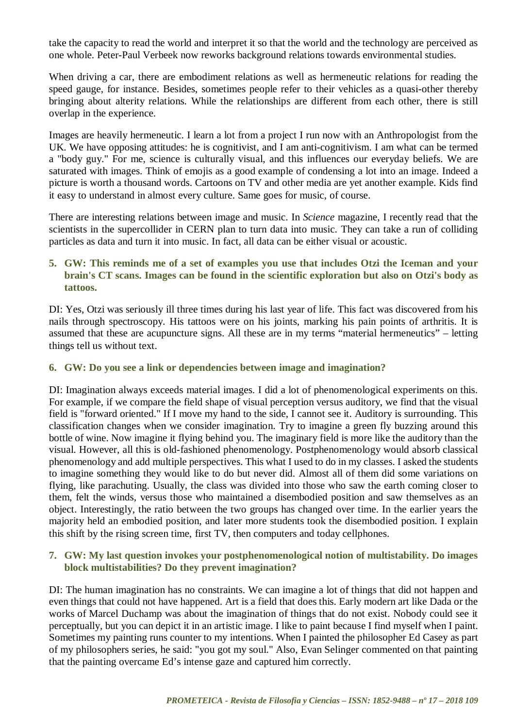take the capacity to read the world and interpret it so that the world and the technology are perceived as one whole. Peter-Paul Verbeek now reworks background relations towards environmental studies.

When driving a car, there are embodiment relations as well as hermeneutic relations for reading the speed gauge, for instance. Besides, sometimes people refer to their vehicles as a quasi-other thereby bringing about alterity relations. While the relationships are different from each other, there is still overlap in the experience.

Images are heavily hermeneutic. I learn a lot from a project I run now with an Anthropologist from the UK. We have opposing attitudes: he is cognitivist, and I am anti-cognitivism. I am what can be termed a "body guy." For me, science is culturally visual, and this influences our everyday beliefs. We are saturated with images. Think of emojis as a good example of condensing a lot into an image. Indeed a picture is worth a thousand words. Cartoons on TV and other media are yet another example. Kids find it easy to understand in almost every culture. Same goes for music, of course.

There are interesting relations between image and music. In *Science* magazine, I recently read that the scientists in the supercollider in CERN plan to turn data into music. They can take a run of colliding particles as data and turn it into music. In fact, all data can be either visual or acoustic.

## **5. GW: This reminds me of a set of examples you use that includes Otzi the Iceman and your brain's CT scans. Images can be found in the scientific exploration but also on Otzi's body as tattoos.**

DI: Yes, Otzi was seriously ill three times during his last year of life. This fact was discovered from his nails through spectroscopy. His tattoos were on his joints, marking his pain points of arthritis. It is assumed that these are acupuncture signs. All these are in my terms "material hermeneutics" – letting things tell us without text.

### **6. GW: Do you see a link or dependencies between image and imagination?**

DI: Imagination always exceeds material images. I did a lot of phenomenological experiments on this. For example, if we compare the field shape of visual perception versus auditory, we find that the visual field is "forward oriented." If I move my hand to the side, I cannot see it. Auditory is surrounding. This classification changes when we consider imagination. Try to imagine a green fly buzzing around this bottle of wine. Now imagine it flying behind you. The imaginary field is more like the auditory than the visual. However, all this is old-fashioned phenomenology. Postphenomenology would absorb classical phenomenology and add multiple perspectives. This what I used to do in my classes. I asked the students to imagine something they would like to do but never did. Almost all of them did some variations on flying, like parachuting. Usually, the class was divided into those who saw the earth coming closer to them, felt the winds, versus those who maintained a disembodied position and saw themselves as an object. Interestingly, the ratio between the two groups has changed over time. In the earlier years the majority held an embodied position, and later more students took the disembodied position. I explain this shift by the rising screen time, first TV, then computers and today cellphones.

# **7. GW: My last question invokes your postphenomenological notion of multistability. Do images block multistabilities? Do they prevent imagination?**

DI: The human imagination has no constraints. We can imagine a lot of things that did not happen and even things that could not have happened. Art is a field that does this. Early modern art like Dada or the works of Marcel Duchamp was about the imagination of things that do not exist. Nobody could see it perceptually, but you can depict it in an artistic image. I like to paint because I find myself when I paint. Sometimes my painting runs counter to my intentions. When I painted the philosopher Ed Casey as part of my philosophers series, he said: "you got my soul." Also, Evan Selinger commented on that painting that the painting overcame Ed's intense gaze and captured him correctly.